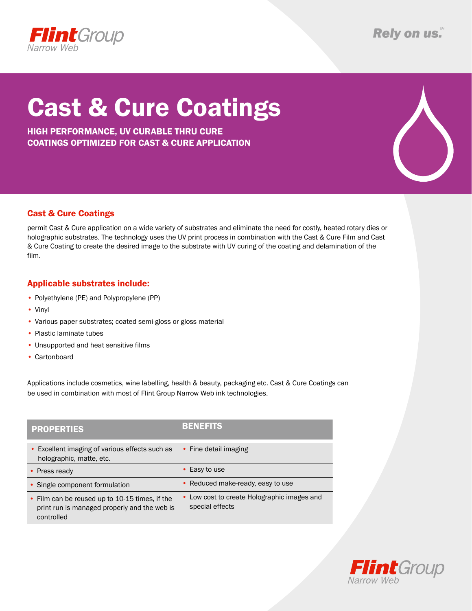

# Cast & Cure Coatings

High performance, UV curable thru cure Coatings optimized for cASt & cure application

#### Cast & Cure Coatings

permit Cast & Cure application on a wide variety of substrates and eliminate the need for costly, heated rotary dies or holographic substrates. The technology uses the UV print process in combination with the Cast & Cure Film and Cast & Cure Coating to create the desired image to the substrate with UV curing of the coating and delamination of the film.

#### Applicable substrates include:

- Polyethylene (PE) and Polypropylene (PP)
- • Vinyl
- Various paper substrates; coated semi-gloss or gloss material
- Plastic laminate tubes
- Unsupported and heat sensitive films
- • Cartonboard

Applications include cosmetics, wine labelling, health & beauty, packaging etc. Cast & Cure Coatings can be used in combination with most of Flint Group Narrow Web ink technologies.

| <b>PROPERTIES</b>                                                                                            | <b>BENEFITS</b>                                                |
|--------------------------------------------------------------------------------------------------------------|----------------------------------------------------------------|
| • Excellent imaging of various effects such as<br>holographic, matte, etc.                                   | • Fine detail imaging                                          |
| • Press ready                                                                                                | • Easy to use                                                  |
| • Single component formulation                                                                               | • Reduced make-ready, easy to use                              |
| • Film can be reused up to 10-15 times, if the<br>print run is managed properly and the web is<br>controlled | • Low cost to create Holographic images and<br>special effects |